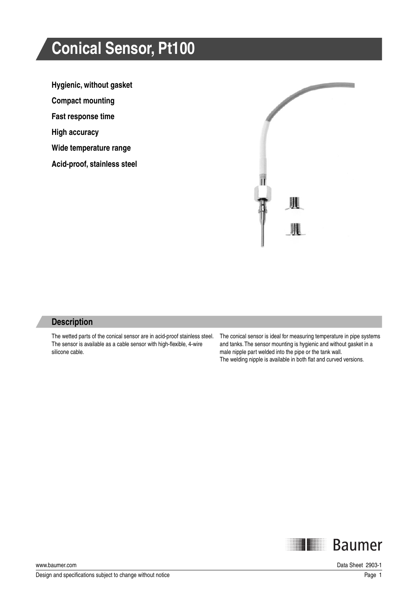# **Conical Sensor, Pt100**

**Hygienic, without gasket** 

**Compact mounting**

**Fast response time**

**High accuracy**

**Wide temperature range** 

**Acid-proof, stainless steel**



#### **Description**

The wetted parts of the conical sensor are in acid-proof stainless steel. The sensor is available as a cable sensor with high-flexible, 4-wire silicone cable.

The conical sensor is ideal for measuring temperature in pipe systems and tanks. The sensor mounting is hygienic and without gasket in a male nipple part welded into the pipe or the tank wall. The welding nipple is available in both flat and curved versions.



www.baumer.com Data Sheet 2903-1